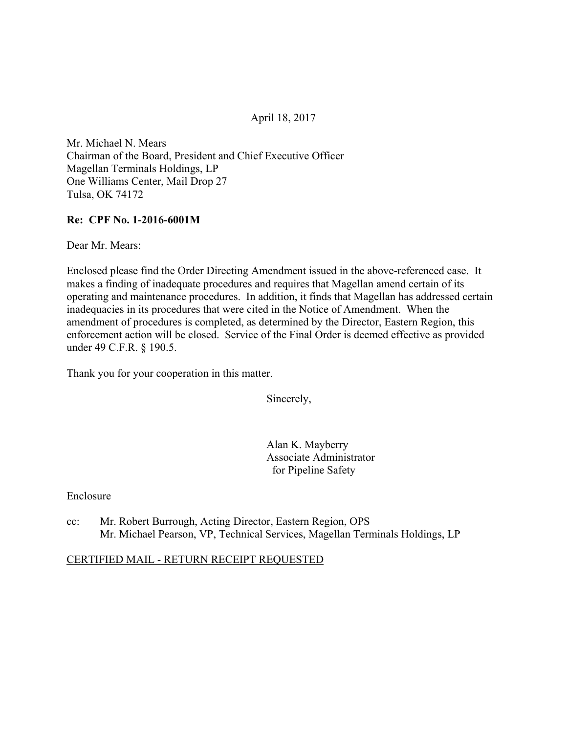#### April 18, 2017

Mr. Michael N. Mears Chairman of the Board, President and Chief Executive Officer Magellan Terminals Holdings, LP One Williams Center, Mail Drop 27 Tulsa, OK 74172

#### **Re: CPF No. 1-2016-6001M**

Dear Mr. Mears:

Enclosed please find the Order Directing Amendment issued in the above-referenced case. It makes a finding of inadequate procedures and requires that Magellan amend certain of its operating and maintenance procedures. In addition, it finds that Magellan has addressed certain inadequacies in its procedures that were cited in the Notice of Amendment. When the amendment of procedures is completed, as determined by the Director, Eastern Region, this enforcement action will be closed. Service of the Final Order is deemed effective as provided under 49 C.F.R. § 190.5.

Thank you for your cooperation in this matter.

Sincerely,

Alan K. Mayberry Associate Administrator for Pipeline Safety

Enclosure

cc: Mr. Robert Burrough, Acting Director, Eastern Region, OPS Mr. Michael Pearson, VP, Technical Services, Magellan Terminals Holdings, LP

#### CERTIFIED MAIL - RETURN RECEIPT REQUESTED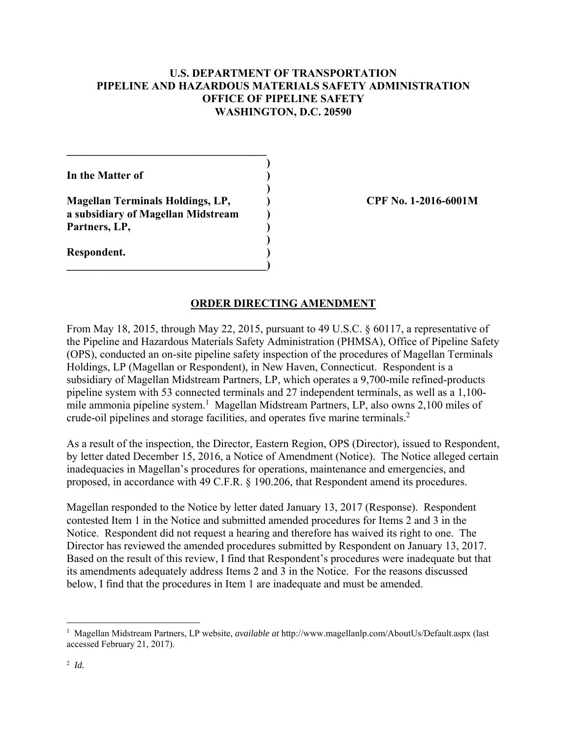## **U.S. DEPARTMENT OF TRANSPORTATION PIPELINE AND HAZARDOUS MATERIALS SAFETY ADMINISTRATION OFFICE OF PIPELINE SAFETY WASHINGTON, D.C. 20590**

 **) In the Matter of ) )** 

**Magellan Terminals Holdings, LP, ) CPF No. 1-2016-6001M a subsidiary of Magellan Midstream )**  Partners, LP,

 **)** 

**\_\_\_\_\_\_\_\_\_\_\_\_\_\_\_\_\_\_\_\_\_\_\_\_\_\_\_\_\_\_\_\_\_\_\_\_)** 

 $\mathcal{L}=\{1,2,3,4,5\}$ 

**Respondent. )** 

## **ORDER DIRECTING AMENDMENT**

From May 18, 2015, through May 22, 2015, pursuant to 49 U.S.C. § 60117, a representative of the Pipeline and Hazardous Materials Safety Administration (PHMSA), Office of Pipeline Safety (OPS), conducted an on-site pipeline safety inspection of the procedures of Magellan Terminals Holdings, LP (Magellan or Respondent), in New Haven, Connecticut. Respondent is a subsidiary of Magellan Midstream Partners, LP, which operates a 9,700-mile refined-products pipeline system with 53 connected terminals and 27 independent terminals, as well as a 1,100 mile ammonia pipeline system.<sup>1</sup> Magellan Midstream Partners, LP, also owns 2,100 miles of crude-oil pipelines and storage facilities, and operates five marine terminals.<sup>2</sup>

As a result of the inspection, the Director, Eastern Region, OPS (Director), issued to Respondent, by letter dated December 15, 2016, a Notice of Amendment (Notice). The Notice alleged certain inadequacies in Magellan's procedures for operations, maintenance and emergencies, and proposed, in accordance with 49 C.F.R. § 190.206, that Respondent amend its procedures.

Magellan responded to the Notice by letter dated January 13, 2017 (Response). Respondent contested Item 1 in the Notice and submitted amended procedures for Items 2 and 3 in the Notice. Respondent did not request a hearing and therefore has waived its right to one. The Director has reviewed the amended procedures submitted by Respondent on January 13, 2017. Based on the result of this review, I find that Respondent's procedures were inadequate but that its amendments adequately address Items 2 and 3 in the Notice. For the reasons discussed below, I find that the procedures in Item 1 are inadequate and must be amended.

 $\overline{a}$ 

<sup>1</sup> Magellan Midstream Partners, LP website, *available at* http://www.magellanlp.com/AboutUs/Default.aspx (last accessed February 21, 2017).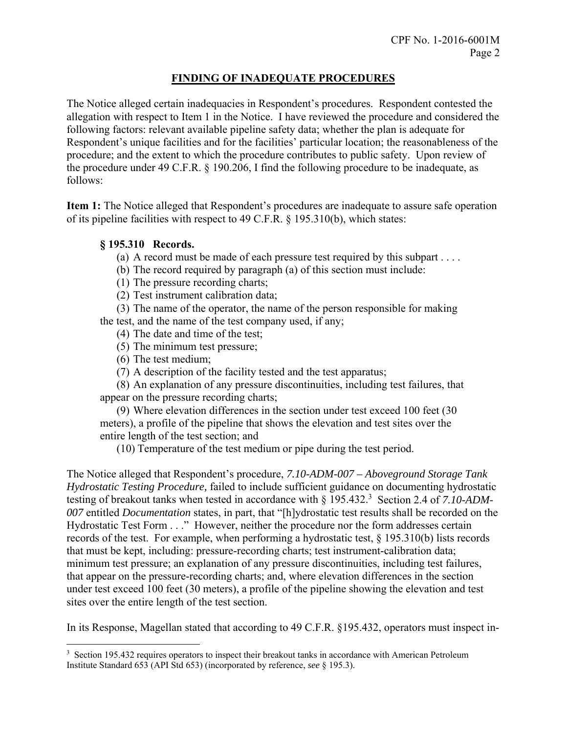# **FINDING OF INADEQUATE PROCEDURES**

The Notice alleged certain inadequacies in Respondent's procedures. Respondent contested the allegation with respect to Item 1 in the Notice. I have reviewed the procedure and considered the following factors: relevant available pipeline safety data; whether the plan is adequate for Respondent's unique facilities and for the facilities' particular location; the reasonableness of the procedure; and the extent to which the procedure contributes to public safety. Upon review of the procedure under 49 C.F.R. § 190.206, I find the following procedure to be inadequate, as follows:

**Item 1:** The Notice alleged that Respondent's procedures are inadequate to assure safe operation of its pipeline facilities with respect to 49 C.F.R. § 195.310(b), which states:

## **§ 195.310 Records.**

(a) A record must be made of each pressure test required by this subpart  $\dots$ .

- (b) The record required by paragraph (a) of this section must include:
- (1) The pressure recording charts;

(2) Test instrument calibration data;

(3) The name of the operator, the name of the person responsible for making the test, and the name of the test company used, if any;

- (4) The date and time of the test;
- (5) The minimum test pressure;
- (6) The test medium;

 $\overline{a}$ 

(7) A description of the facility tested and the test apparatus;

(8) An explanation of any pressure discontinuities, including test failures, that appear on the pressure recording charts;

(9) Where elevation differences in the section under test exceed 100 feet (30 meters), a profile of the pipeline that shows the elevation and test sites over the entire length of the test section; and

(10) Temperature of the test medium or pipe during the test period.

The Notice alleged that Respondent's procedure, *7.10-ADM-007 – Aboveground Storage Tank Hydrostatic Testing Procedure,* failed to include sufficient guidance on documenting hydrostatic testing of breakout tanks when tested in accordance with § 195.432.<sup>3</sup> Section 2.4 of 7.10-ADM-*007* entitled *Documentation* states, in part, that "[h]ydrostatic test results shall be recorded on the Hydrostatic Test Form . . ." However, neither the procedure nor the form addresses certain records of the test. For example, when performing a hydrostatic test, § 195.310(b) lists records that must be kept, including: pressure-recording charts; test instrument-calibration data; minimum test pressure; an explanation of any pressure discontinuities, including test failures, that appear on the pressure-recording charts; and, where elevation differences in the section under test exceed 100 feet (30 meters), a profile of the pipeline showing the elevation and test sites over the entire length of the test section.

In its Response, Magellan stated that according to 49 C.F.R. §195.432, operators must inspect in-

<sup>&</sup>lt;sup>3</sup> Section 195.432 requires operators to inspect their breakout tanks in accordance with American Petroleum Institute Standard 653 (API Std 653) (incorporated by reference, *see* § 195.3).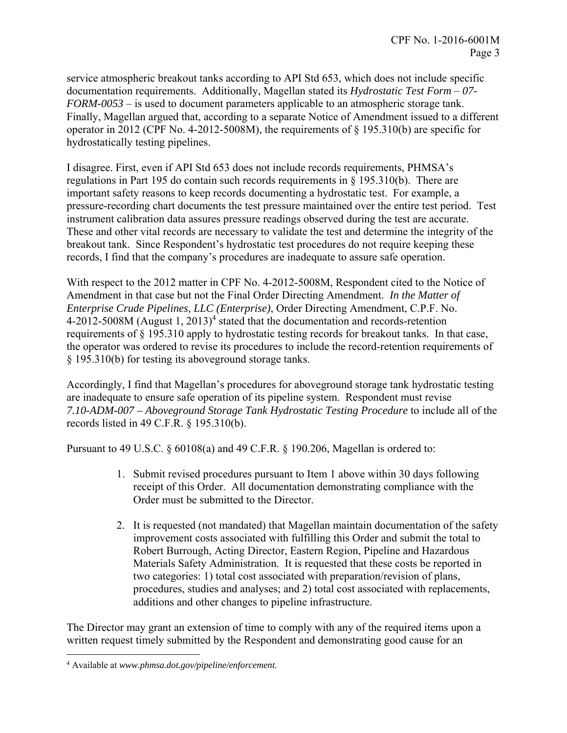service atmospheric breakout tanks according to API Std 653, which does not include specific documentation requirements. Additionally, Magellan stated its *Hydrostatic Test Form* – *07- FORM-0053* – is used to document parameters applicable to an atmospheric storage tank. Finally, Magellan argued that, according to a separate Notice of Amendment issued to a different operator in 2012 (CPF No. 4-2012-5008M), the requirements of § 195.310(b) are specific for hydrostatically testing pipelines.

I disagree. First, even if API Std 653 does not include records requirements, PHMSA's regulations in Part 195 do contain such records requirements in  $\S$  195.310(b). There are important safety reasons to keep records documenting a hydrostatic test. For example, a pressure-recording chart documents the test pressure maintained over the entire test period. Test instrument calibration data assures pressure readings observed during the test are accurate. These and other vital records are necessary to validate the test and determine the integrity of the breakout tank. Since Respondent's hydrostatic test procedures do not require keeping these records, I find that the company's procedures are inadequate to assure safe operation.

With respect to the 2012 matter in CPF No. 4-2012-5008M, Respondent cited to the Notice of Amendment in that case but not the Final Order Directing Amendment. *In the Matter of Enterprise Crude Pipelines, LLC (Enterprise)*, Order Directing Amendment, C.P.F. No.  $4-2012-5008M$  (August 1,  $2013$ )<sup>4</sup> stated that the documentation and records-retention requirements of § 195.310 apply to hydrostatic testing records for breakout tanks. In that case, the operator was ordered to revise its procedures to include the record-retention requirements of § 195.310(b) for testing its aboveground storage tanks.

Accordingly, I find that Magellan's procedures for aboveground storage tank hydrostatic testing are inadequate to ensure safe operation of its pipeline system. Respondent must revise *7.10-ADM-007 – Aboveground Storage Tank Hydrostatic Testing Procedure* to include all of the records listed in 49 C.F.R. § 195.310(b).

Pursuant to 49 U.S.C. § 60108(a) and 49 C.F.R. § 190.206, Magellan is ordered to:

- 1. Submit revised procedures pursuant to Item 1 above within 30 days following receipt of this Order. All documentation demonstrating compliance with the Order must be submitted to the Director.
- 2. It is requested (not mandated) that Magellan maintain documentation of the safety improvement costs associated with fulfilling this Order and submit the total to Robert Burrough, Acting Director, Eastern Region, Pipeline and Hazardous Materials Safety Administration. It is requested that these costs be reported in two categories: 1) total cost associated with preparation/revision of plans, procedures, studies and analyses; and 2) total cost associated with replacements, additions and other changes to pipeline infrastructure.

The Director may grant an extension of time to comply with any of the required items upon a written request timely submitted by the Respondent and demonstrating good cause for an

 $\overline{a}$ 

<sup>4</sup> Available at *www.phmsa.dot.gov/pipeline/enforcement.*